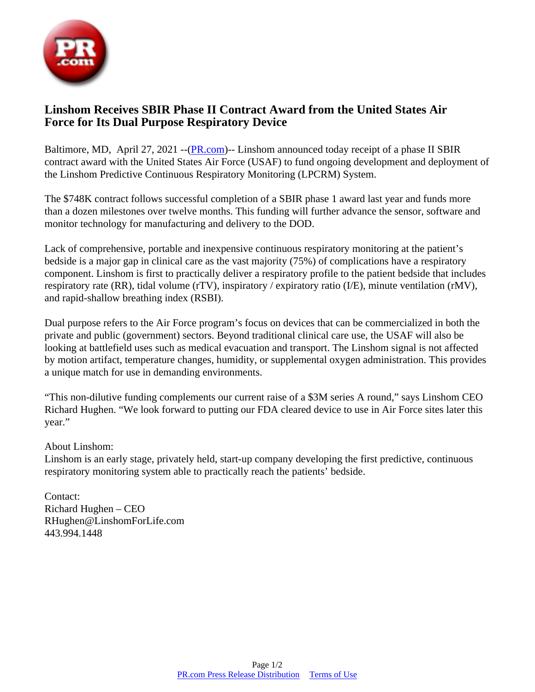

## **Linshom Receives SBIR Phase II Contract Award from the United States Air Force for Its Dual Purpose Respiratory Device**

Baltimore, MD, April 27, 2021 --([PR.com](https://www.pr.com))-- Linshom announced today receipt of a phase II SBIR contract award with the United States Air Force (USAF) to fund ongoing development and deployment of the Linshom Predictive Continuous Respiratory Monitoring (LPCRM) System.

The \$748K contract follows successful completion of a SBIR phase 1 award last year and funds more than a dozen milestones over twelve months. This funding will further advance the sensor, software and monitor technology for manufacturing and delivery to the DOD.

Lack of comprehensive, portable and inexpensive continuous respiratory monitoring at the patient's bedside is a major gap in clinical care as the vast majority (75%) of complications have a respiratory component. Linshom is first to practically deliver a respiratory profile to the patient bedside that includes respiratory rate (RR), tidal volume (rTV), inspiratory / expiratory ratio (I/E), minute ventilation (rMV), and rapid-shallow breathing index (RSBI).

Dual purpose refers to the Air Force program's focus on devices that can be commercialized in both the private and public (government) sectors. Beyond traditional clinical care use, the USAF will also be looking at battlefield uses such as medical evacuation and transport. The Linshom signal is not affected by motion artifact, temperature changes, humidity, or supplemental oxygen administration. This provides a unique match for use in demanding environments.

"This non-dilutive funding complements our current raise of a \$3M series A round," says Linshom CEO Richard Hughen. "We look forward to putting our FDA cleared device to use in Air Force sites later this year."

## About Linshom:

Linshom is an early stage, privately held, start-up company developing the first predictive, continuous respiratory monitoring system able to practically reach the patients' bedside.

Contact: Richard Hughen – CEO RHughen@LinshomForLife.com 443.994.1448